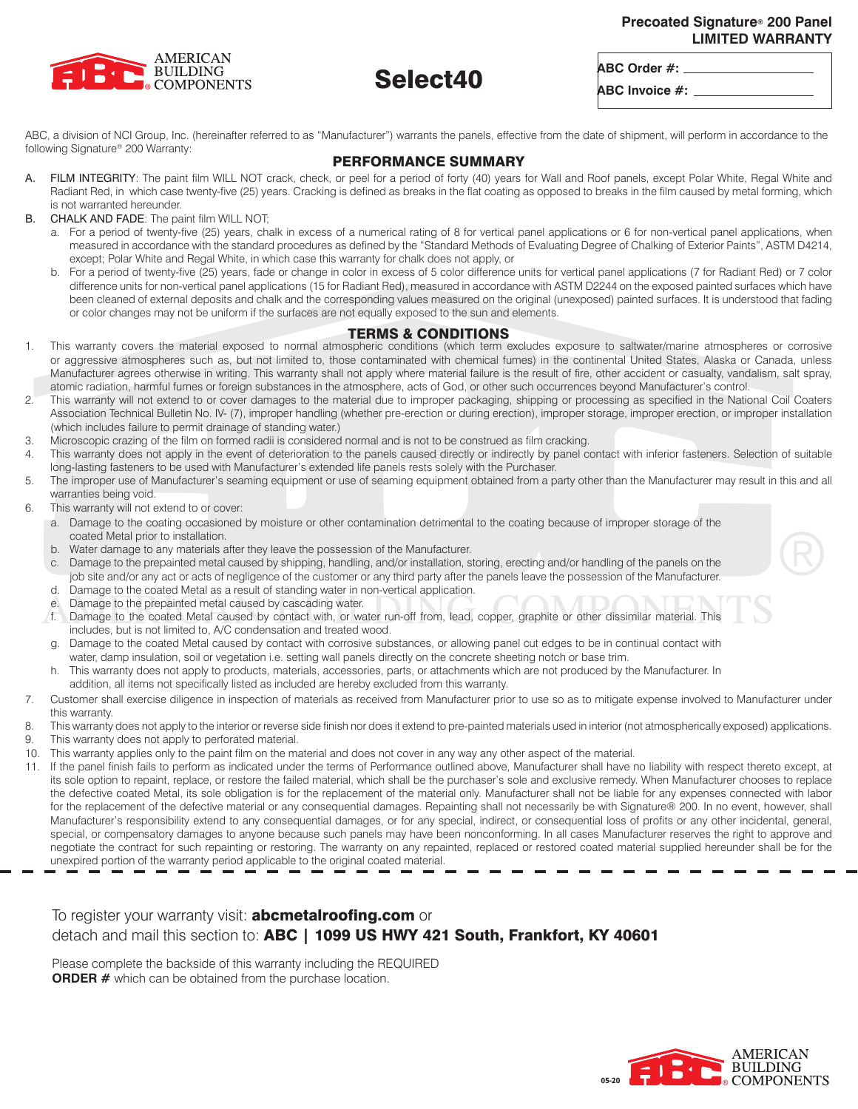### **Precoated Signature® 200 Panel LIMITED WARRANTY**



# Select40

**ABC Order #: ABC Invoice #:**

ABC, a division of NCI Group, Inc. (hereinafter referred to as "Manufacturer") warrants the panels, effective from the date of shipment, will perform in accordance to the following Signature® 200 Warranty:

# PERFORMANCE SUMMARY

- A. FILM INTEGRITY: The paint film WILL NOT crack, check, or peel for a period of forty (40) years for Wall and Roof panels, except Polar White, Regal White and Radiant Red, in which case twenty-five (25) years. Cracking is defined as breaks in the flat coating as opposed to breaks in the film caused by metal forming, which is not warranted hereunder.
- B. CHALK AND FADE: The paint film WILL NOT;
	- a. For a period of twenty-five (25) years, chalk in excess of a numerical rating of 8 for vertical panel applications or 6 for non-vertical panel applications, when measured in accordance with the standard procedures as defined by the "Standard Methods of Evaluating Degree of Chalking of Exterior Paints", ASTM D4214, except; Polar White and Regal White, in which case this warranty for chalk does not apply, or
	- b. For a period of twenty-five (25) years, fade or change in color in excess of 5 color difference units for vertical panel applications (7 for Radiant Red) or 7 color difference units for non-vertical panel applications (15 for Radiant Red), measured in accordance with ASTM D2244 on the exposed painted surfaces which have been cleaned of external deposits and chalk and the corresponding values measured on the original (unexposed) painted surfaces. It is understood that fading or color changes may not be uniform if the surfaces are not equally exposed to the sun and elements.

## TERMS & CONDITIONS

- 1. This warranty covers the material exposed to normal atmospheric conditions (which term excludes exposure to saltwater/marine atmospheres or corrosive or aggressive atmospheres such as, but not limited to, those contaminated with chemical fumes) in the continental United States, Alaska or Canada, unless Manufacturer agrees otherwise in writing. This warranty shall not apply where material failure is the result of fire, other accident or casualty, vandalism, salt spray, atomic radiation, harmful fumes or foreign substances in the atmosphere, acts of God, or other such occurrences beyond Manufacturer's control.
- 2. This warranty will not extend to or cover damages to the material due to improper packaging, shipping or processing as specified in the National Coil Coaters Association Technical Bulletin No. IV- (7), improper handling (whether pre-erection or during erection), improper storage, improper erection, or improper installation (which includes failure to permit drainage of standing water.)
- 3. Microscopic crazing of the film on formed radii is considered normal and is not to be construed as film cracking.
- This warranty does not apply in the event of deterioration to the panels caused directly or indirectly by panel contact with inferior fasteners. Selection of suitable long-lasting fasteners to be used with Manufacturer's extended life panels rests solely with the Purchaser.
- 5. The improper use of Manufacturer's seaming equipment or use of seaming equipment obtained from a party other than the Manufacturer may result in this and all warranties being void.
- 6. This warranty will not extend to or cover:
	- a. Damage to the coating occasioned by moisture or other contamination detrimental to the coating because of improper storage of the coated Metal prior to installation.
	- b. Water damage to any materials after they leave the possession of the Manufacturer.
	- c. Damage to the prepainted metal caused by shipping, handling, and/or installation, storing, erecting and/or handling of the panels on the job site and/or any act or acts of negligence of the customer or any third party after the panels leave the possession of the Manufacturer.
	- d. Damage to the coated Metal as a result of standing water in non-vertical application.
	- e. Damage to the prepainted metal caused by cascading water.
	- f. Damage to the coated Metal caused by contact with, or water run-off from, lead, copper, graphite or other dissimilar material. This includes, but is not limited to, A/C condensation and treated wood.
	- g. Damage to the coated Metal caused by contact with corrosive substances, or allowing panel cut edges to be in continual contact with water, damp insulation, soil or vegetation i.e. setting wall panels directly on the concrete sheeting notch or base trim.
	- h. This warranty does not apply to products, materials, accessories, parts, or attachments which are not produced by the Manufacturer. In addition, all items not specifically listed as included are hereby excluded from this warranty.
- 7. Customer shall exercise diligence in inspection of materials as received from Manufacturer prior to use so as to mitigate expense involved to Manufacturer under this warranty.
- 8. This warranty does not apply to the interior or reverse side finish nor does it extend to pre-painted materials used in interior (not atmospherically exposed) applications.
- 9. This warranty does not apply to perforated material.
- 10. This warranty applies only to the paint film on the material and does not cover in any way any other aspect of the material.
- 11. If the panel finish fails to perform as indicated under the terms of Performance outlined above, Manufacturer shall have no liability with respect thereto except, at its sole option to repaint, replace, or restore the failed material, which shall be the purchaser's sole and exclusive remedy. When Manufacturer chooses to replace the defective coated Metal, its sole obligation is for the replacement of the material only. Manufacturer shall not be liable for any expenses connected with labor for the replacement of the defective material or any consequential damages. Repainting shall not necessarily be with Signature® 200. In no event, however, shall Manufacturer's responsibility extend to any consequential damages, or for any special, indirect, or consequential loss of profits or any other incidental, general, special, or compensatory damages to anyone because such panels may have been nonconforming. In all cases Manufacturer reserves the right to approve and negotiate the contract for such repainting or restoring. The warranty on any repainted, replaced or restored coated material supplied hereunder shall be for the unexpired portion of the warranty period applicable to the original coated material.

# To register your warranty visit: **abcmetalroofing.com** or detach and mail this section to: ABC | 1099 US HWY 421 South, Frankfort, KY 40601

Please complete the backside of this warranty including the REQUIRED **ORDER #** which can be obtained from the purchase location.